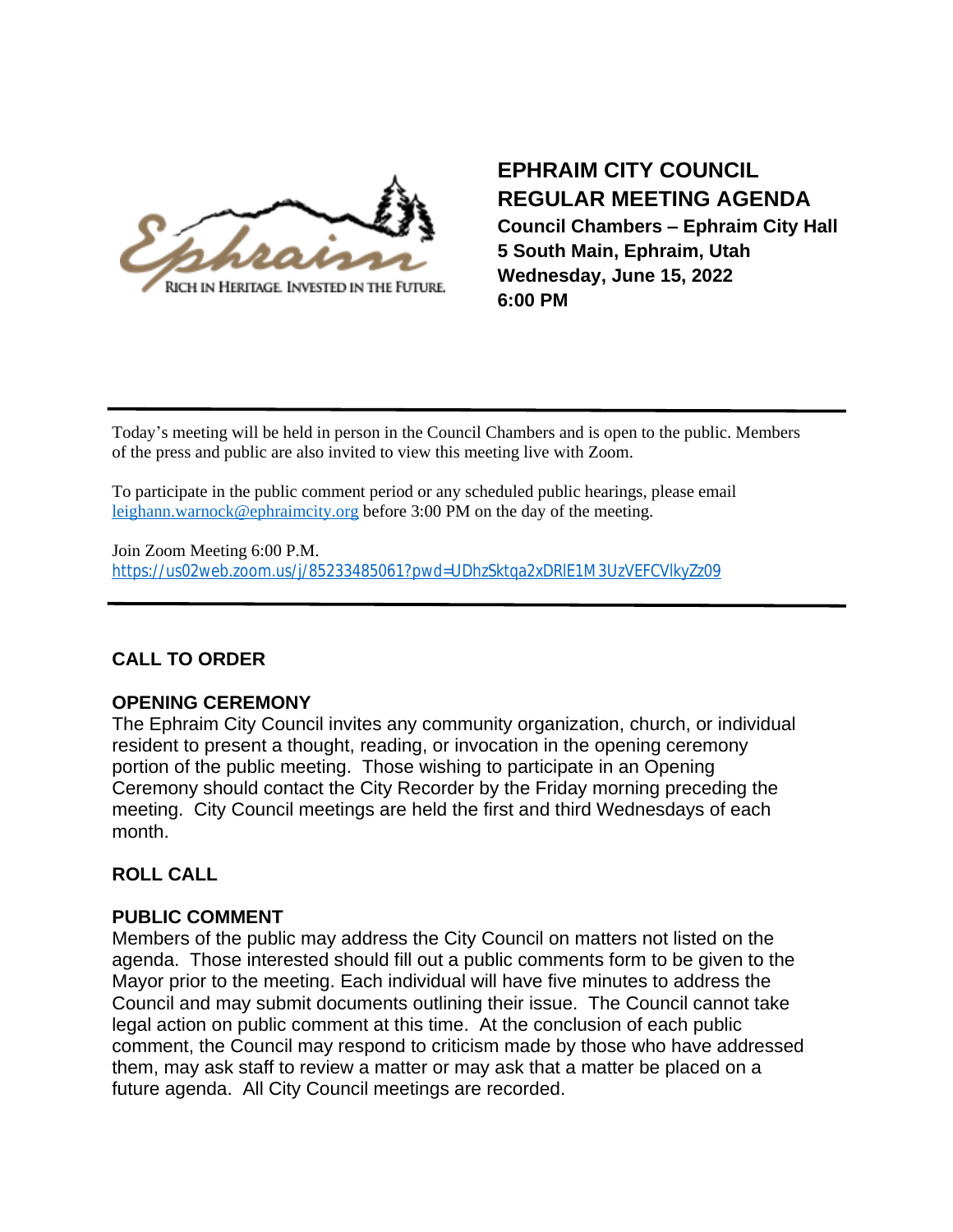

# **EPHRAIM CITY COUNCIL REGULAR MEETING AGENDA**

**Council Chambers – Ephraim City Hall 5 South Main, Ephraim, Utah Wednesday, June 15, 2022 6:00 PM**

Today's meeting will be held in person in the Council Chambers and is open to the public. Members of the press and public are also invited to view this meeting live with Zoom.

To participate in the public comment period or any scheduled public hearings, please email [leighann.warnock@ephraimcity.org](mailto:leighann.warnock@ephraimcity.org) before 3:00 PM on the day of the meeting.

Join Zoom Meeting 6:00 P.M. <https://us02web.zoom.us/j/85233485061?pwd=UDhzSktqa2xDRlE1M3UzVEFCVlkyZz09>

## **CALL TO ORDER**

## **OPENING CEREMONY**

The Ephraim City Council invites any community organization, church, or individual resident to present a thought, reading, or invocation in the opening ceremony portion of the public meeting. Those wishing to participate in an Opening Ceremony should contact the City Recorder by the Friday morning preceding the meeting. City Council meetings are held the first and third Wednesdays of each month.

## **ROLL CALL**

## **PUBLIC COMMENT**

Members of the public may address the City Council on matters not listed on the agenda. Those interested should fill out a public comments form to be given to the Mayor prior to the meeting. Each individual will have five minutes to address the Council and may submit documents outlining their issue. The Council cannot take legal action on public comment at this time. At the conclusion of each public comment, the Council may respond to criticism made by those who have addressed them, may ask staff to review a matter or may ask that a matter be placed on a future agenda. All City Council meetings are recorded.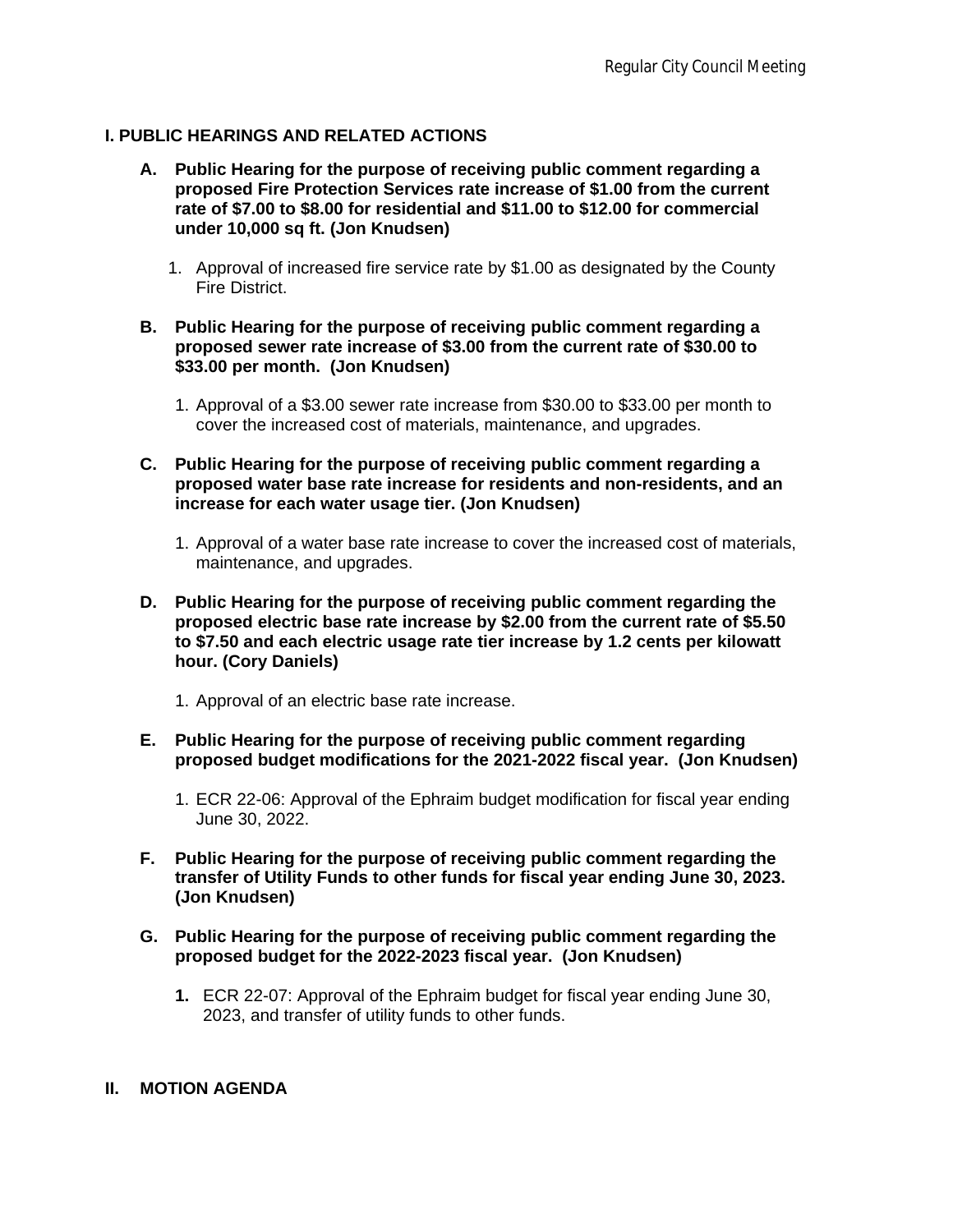#### **I. PUBLIC HEARINGS AND RELATED ACTIONS**

- **A. Public Hearing for the purpose of receiving public comment regarding a proposed Fire Protection Services rate increase of \$1.00 from the current rate of \$7.00 to \$8.00 for residential and \$11.00 to \$12.00 for commercial under 10,000 sq ft. (Jon Knudsen)**
	- 1. Approval of increased fire service rate by \$1.00 as designated by the County Fire District.
- **B. Public Hearing for the purpose of receiving public comment regarding a proposed sewer rate increase of \$3.00 from the current rate of \$30.00 to \$33.00 per month. (Jon Knudsen)**
	- 1. Approval of a \$3.00 sewer rate increase from \$30.00 to \$33.00 per month to cover the increased cost of materials, maintenance, and upgrades.
- **C. Public Hearing for the purpose of receiving public comment regarding a proposed water base rate increase for residents and non-residents, and an increase for each water usage tier. (Jon Knudsen)**
	- 1. Approval of a water base rate increase to cover the increased cost of materials, maintenance, and upgrades.
- **D. Public Hearing for the purpose of receiving public comment regarding the proposed electric base rate increase by \$2.00 from the current rate of \$5.50 to \$7.50 and each electric usage rate tier increase by 1.2 cents per kilowatt hour. (Cory Daniels)**
	- 1. Approval of an electric base rate increase.
- **E. Public Hearing for the purpose of receiving public comment regarding proposed budget modifications for the 2021-2022 fiscal year. (Jon Knudsen)**
	- 1. ECR 22-06: Approval of the Ephraim budget modification for fiscal year ending June 30, 2022.
- **F. Public Hearing for the purpose of receiving public comment regarding the transfer of Utility Funds to other funds for fiscal year ending June 30, 2023. (Jon Knudsen)**
- **G. Public Hearing for the purpose of receiving public comment regarding the proposed budget for the 2022-2023 fiscal year. (Jon Knudsen)**
	- **1.** ECR 22-07: Approval of the Ephraim budget for fiscal year ending June 30, 2023, and transfer of utility funds to other funds.

#### **II. MOTION AGENDA**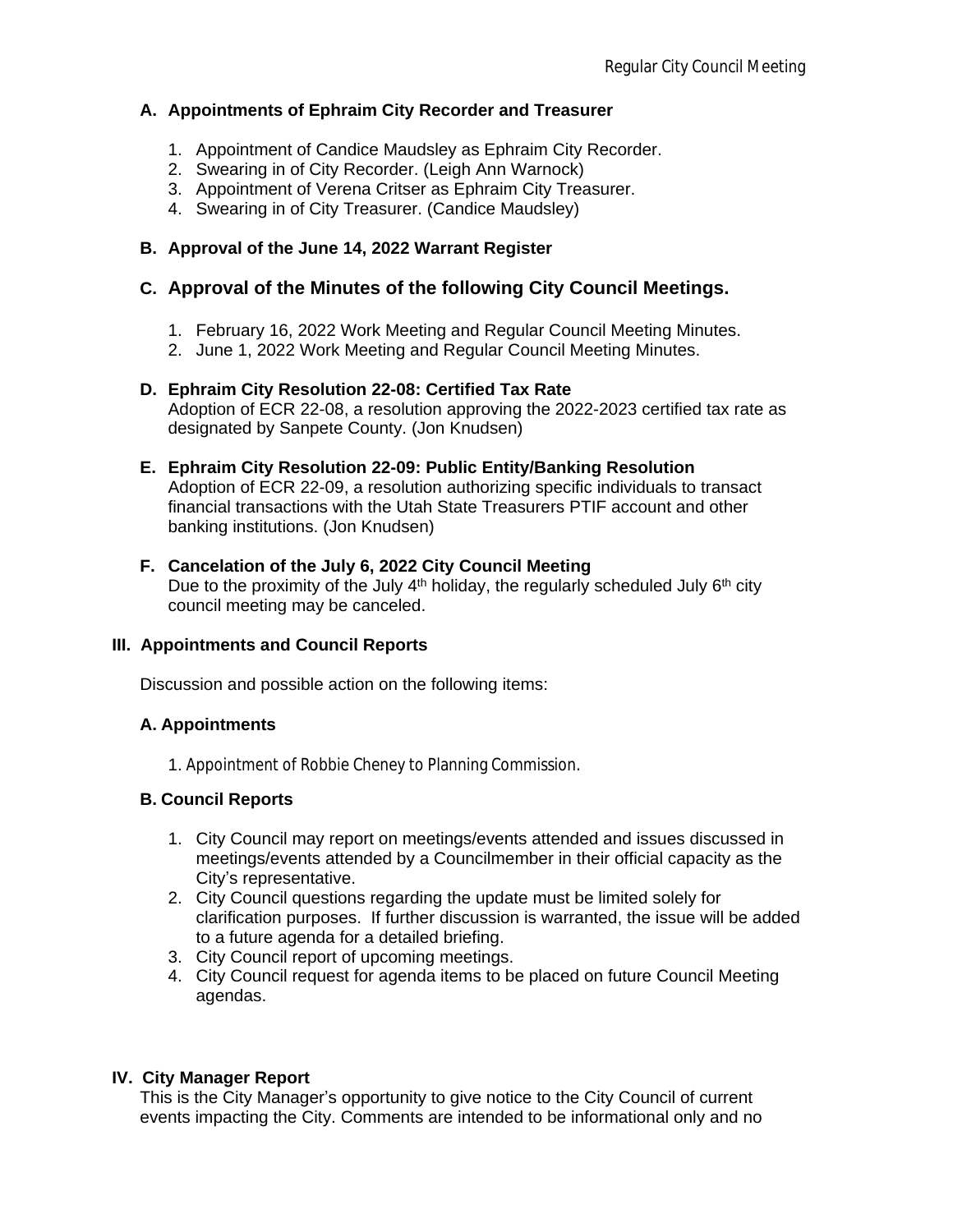## **A. Appointments of Ephraim City Recorder and Treasurer**

- 1. Appointment of Candice Maudsley as Ephraim City Recorder.
- 2. Swearing in of City Recorder. (Leigh Ann Warnock)
- 3. Appointment of Verena Critser as Ephraim City Treasurer.
- 4. Swearing in of City Treasurer. (Candice Maudsley)

## **B. Approval of the June 14, 2022 Warrant Register**

## **C. Approval of the Minutes of the following City Council Meetings.**

- 1. February 16, 2022 Work Meeting and Regular Council Meeting Minutes.
- 2. June 1, 2022 Work Meeting and Regular Council Meeting Minutes.

#### **D. Ephraim City Resolution 22-08: Certified Tax Rate**

Adoption of ECR 22-08, a resolution approving the 2022-2023 certified tax rate as designated by Sanpete County. (Jon Knudsen)

#### **E. Ephraim City Resolution 22-09: Public Entity/Banking Resolution**

Adoption of ECR 22-09, a resolution authorizing specific individuals to transact financial transactions with the Utah State Treasurers PTIF account and other banking institutions. (Jon Knudsen)

## **F. Cancelation of the July 6, 2022 City Council Meeting**

Due to the proximity of the July  $4<sup>th</sup>$  holiday, the regularly scheduled July  $6<sup>th</sup>$  city council meeting may be canceled.

#### **III. Appointments and Council Reports**

Discussion and possible action on the following items:

#### **A. Appointments**

1. Appointment of Robbie Cheney to Planning Commission.

## **B. Council Reports**

- 1. City Council may report on meetings/events attended and issues discussed in meetings/events attended by a Councilmember in their official capacity as the City's representative.
- 2. City Council questions regarding the update must be limited solely for clarification purposes. If further discussion is warranted, the issue will be added to a future agenda for a detailed briefing.
- 3. City Council report of upcoming meetings.
- 4. City Council request for agenda items to be placed on future Council Meeting agendas.

## **IV. City Manager Report**

This is the City Manager's opportunity to give notice to the City Council of current events impacting the City. Comments are intended to be informational only and no